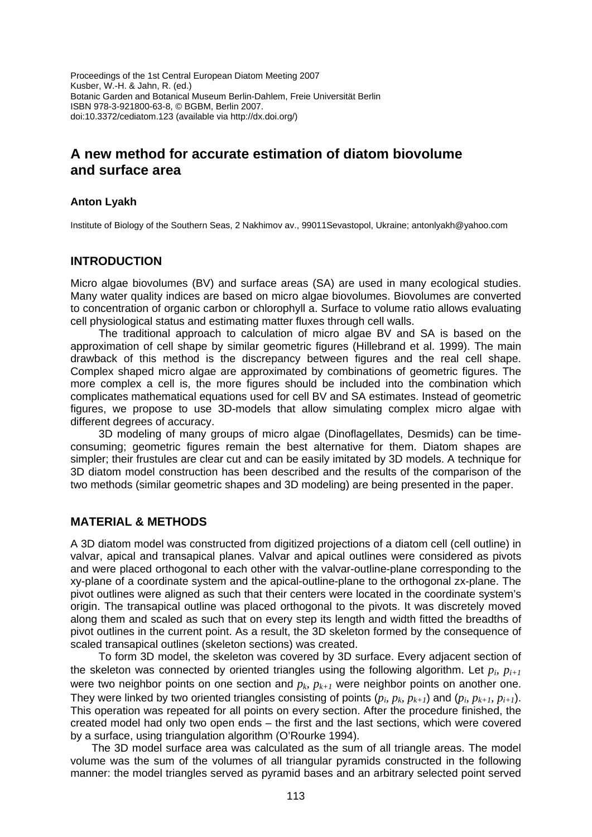Proceedings of the 1st Central European Diatom Meeting 2007 Kusber, W.-H. & Jahn, R. (ed.) Botanic Garden and Botanical Museum Berlin-Dahlem, Freie Universität Berlin ISBN 978-3-921800-63-8, © BGBM, Berlin 2007. doi:10.3372/cediatom.123 (available via http://dx.doi.org/)

# **A new method for accurate estimation of diatom biovolume and surface area**

# **Anton Lyakh**

Institute of Biology of the Southern Seas, 2 Nakhimov av., 99011Sevastopol, Ukraine; antonlyakh@yahoo.com

# **INTRODUCTION**

Micro algae biovolumes (BV) and surface areas (SA) are used in many ecological studies. Many water quality indices are based on micro algae biovolumes. Biovolumes are converted to concentration of organic carbon or chlorophyll a. Surface to volume ratio allows evaluating cell physiological status and estimating matter fluxes through cell walls.

The traditional approach to calculation of micro algae BV and SA is based on the approximation of cell shape by similar geometric figures (Hillebrand et al. 1999). The main drawback of this method is the discrepancy between figures and the real cell shape. Complex shaped micro algae are approximated by combinations of geometric figures. The more complex a cell is, the more figures should be included into the combination which complicates mathematical equations used for cell BV and SA estimates. Instead of geometric figures, we propose to use 3D-models that allow simulating complex micro algae with different degrees of accuracy.

3D modeling of many groups of micro algae (Dinoflagellates, Desmids) can be timeconsuming; geometric figures remain the best alternative for them. Diatom shapes are simpler; their frustules are clear cut and can be easily imitated by 3D models. A technique for 3D diatom model construction has been described and the results of the comparison of the two methods (similar geometric shapes and 3D modeling) are being presented in the paper.

# **MATERIAL & METHODS**

A 3D diatom model was constructed from digitized projections of a diatom cell (cell outline) in valvar, apical and transapical planes. Valvar and apical outlines were considered as pivots and were placed orthogonal to each other with the valvar-outline-plane corresponding to the xy-plane of a coordinate system and the apical-outline-plane to the orthogonal zx-plane. The pivot outlines were aligned as such that their centers were located in the coordinate system's origin. The transapical outline was placed orthogonal to the pivots. It was discretely moved along them and scaled as such that on every step its length and width fitted the breadths of pivot outlines in the current point. As a result, the 3D skeleton formed by the consequence of scaled transapical outlines (skeleton sections) was created.

To form 3D model, the skeleton was covered by 3D surface. Every adjacent section of the skeleton was connected by oriented triangles using the following algorithm. Let  $p_i$ ,  $p_{i+1}$ were two neighbor points on one section and  $p_k$ ,  $p_{k+1}$  were neighbor points on another one. They were linked by two oriented triangles consisting of points  $(p_i, p_k, p_{k+1})$  and  $(p_i, p_{k+1}, p_{i+1})$ . This operation was repeated for all points on every section. After the procedure finished, the created model had only two open ends – the first and the last sections, which were covered by a surface, using triangulation algorithm (O'Rourke 1994).

The 3D model surface area was calculated as the sum of all triangle areas. The model volume was the sum of the volumes of all triangular pyramids constructed in the following manner: the model triangles served as pyramid bases and an arbitrary selected point served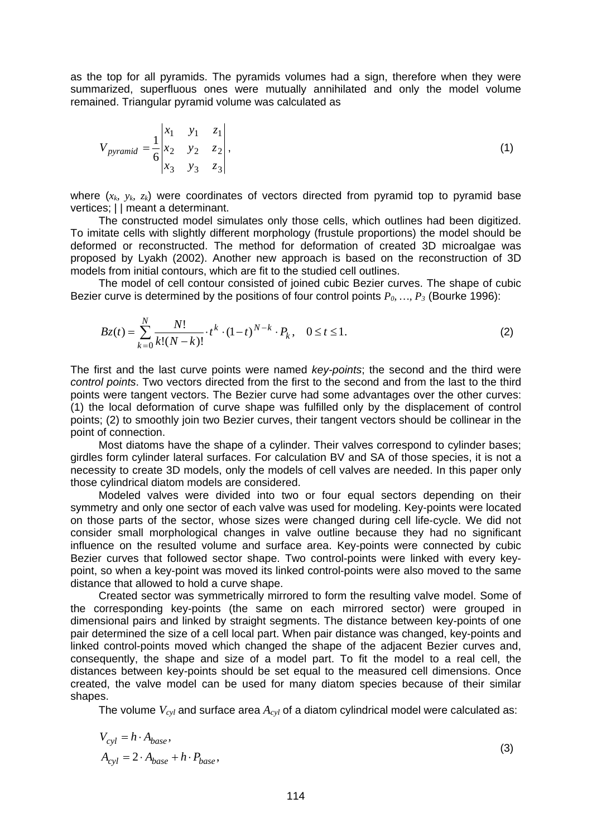as the top for all pyramids. The pyramids volumes had a sign, therefore when they were summarized, superfluous ones were mutually annihilated and only the model volume remained. Triangular pyramid volume was calculated as

$$
V_{pyramid} = \frac{1}{6} \begin{vmatrix} x_1 & y_1 & z_1 \\ x_2 & y_2 & z_2 \\ x_3 & y_3 & z_3 \end{vmatrix},
$$
 (1)

where  $(x_k, y_k, z_k)$  were coordinates of vectors directed from pyramid top to pyramid base vertices;  $||$  meant a determinant.

The constructed model simulates only those cells, which outlines had been digitized. To imitate cells with slightly different morphology (frustule proportions) the model should be deformed or reconstructed. The method for deformation of created 3D microalgae was proposed by Lyakh (2002). Another new approach is based on the reconstruction of 3D models from initial contours, which are fit to the studied cell outlines.

The model of cell contour consisted of joined cubic Bezier curves. The shape of cubic Bezier curve is determined by the positions of four control points  $P_0, ..., P_3$  (Bourke 1996):

$$
Bz(t) = \sum_{k=0}^{N} \frac{N!}{k!(N-k)!} \cdot t^k \cdot (1-t)^{N-k} \cdot P_k, \quad 0 \le t \le 1.
$$
 (2)

The first and the last curve points were named *key-points*; the second and the third were *control points*. Two vectors directed from the first to the second and from the last to the third points were tangent vectors. The Bezier curve had some advantages over the other curves: (1) the local deformation of curve shape was fulfilled only by the displacement of control points; (2) to smoothly join two Bezier curves, their tangent vectors should be collinear in the point of connection.

Most diatoms have the shape of a cylinder. Their valves correspond to cylinder bases; girdles form cylinder lateral surfaces. For calculation BV and SA of those species, it is not a necessity to create 3D models, only the models of cell valves are needed. In this paper only those cylindrical diatom models are considered.

Modeled valves were divided into two or four equal sectors depending on their symmetry and only one sector of each valve was used for modeling. Key-points were located on those parts of the sector, whose sizes were changed during cell life-cycle. We did not consider small morphological changes in valve outline because they had no significant influence on the resulted volume and surface area. Key-points were connected by cubic Bezier curves that followed sector shape. Two control-points were linked with every keypoint, so when a key-point was moved its linked control-points were also moved to the same distance that allowed to hold a curve shape.

Created sector was symmetrically mirrored to form the resulting valve model. Some of the corresponding key-points (the same on each mirrored sector) were grouped in dimensional pairs and linked by straight segments. The distance between key-points of one pair determined the size of a cell local part. When pair distance was changed, key-points and linked control-points moved which changed the shape of the adjacent Bezier curves and, consequently, the shape and size of a model part. To fit the model to a real cell, the distances between key-points should be set equal to the measured cell dimensions. Once created, the valve model can be used for many diatom species because of their similar shapes.

The volume  $V_{cyl}$  and surface area  $A_{cyl}$  of a diatom cylindrical model were calculated as:

$$
V_{cyl} = h \cdot A_{base},
$$
  
\n
$$
A_{cyl} = 2 \cdot A_{base} + h \cdot P_{base},
$$
\n(3)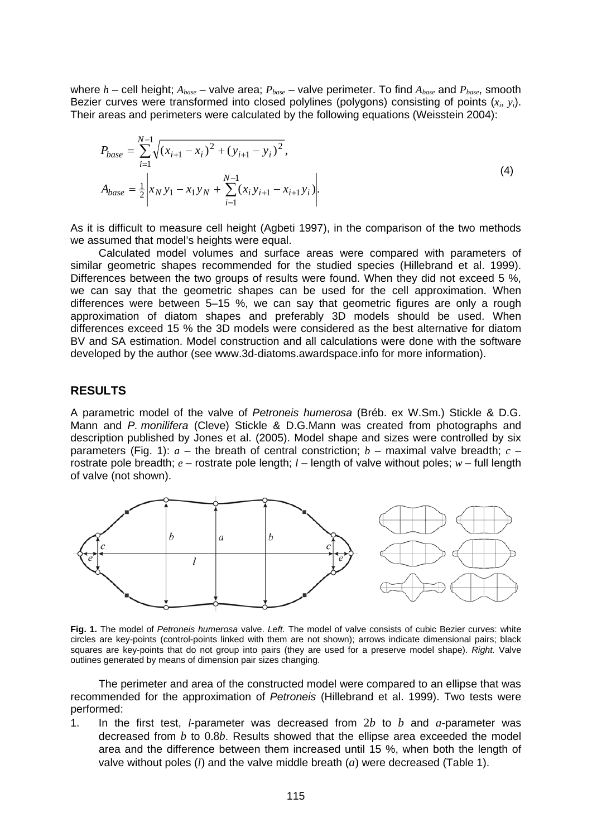where  $h$  – cell height;  $A_{base}$  – valve area;  $P_{base}$  – valve perimeter. To find  $A_{base}$  and  $P_{base}$ , smooth Bezier curves were transformed into closed polylines (polygons) consisting of points (*xi*, *yi*). Their areas and perimeters were calculated by the following equations (Weisstein 2004):

$$
P_{base} = \sum_{i=1}^{N-1} \sqrt{(x_{i+1} - x_i)^2 + (y_{i+1} - y_i)^2},
$$
  
\n
$$
A_{base} = \frac{1}{2} \left| x_N y_1 - x_1 y_N + \sum_{i=1}^{N-1} (x_i y_{i+1} - x_{i+1} y_i) \right|.
$$
\n(4)

As it is difficult to measure cell height (Agbeti 1997), in the comparison of the two methods we assumed that model's heights were equal.

Calculated model volumes and surface areas were compared with parameters of similar geometric shapes recommended for the studied species (Hillebrand et al. 1999). Differences between the two groups of results were found. When they did not exceed 5 %. we can say that the geometric shapes can be used for the cell approximation. When differences were between 5–15 %, we can say that geometric figures are only a rough approximation of diatom shapes and preferably 3D models should be used. When differences exceed 15 % the 3D models were considered as the best alternative for diatom BV and SA estimation. Model construction and all calculations were done with the software developed by the author (see www.3d-diatoms.awardspace.info for more information).

### **RESULTS**

A parametric model of the valve of *Petroneis humerosa* (Bréb. ex W.Sm.) Stickle & D.G. Mann and *P. monilifera* (Cleve) Stickle & D.G.Mann was created from photographs and description published by Jones et al. (2005). Model shape and sizes were controlled by six parameters (Fig. 1):  $a$  – the breath of central constriction;  $b$  – maximal valve breadth;  $c$  – rostrate pole breadth; *e* – rostrate pole length; *l* – length of valve without poles; *w* – full length of valve (not shown).



**Fig. 1.** The model of *Petroneis humerosa* valve. *Left.* The model of valve consists of cubic Bezier curves: white circles are key-points (control-points linked with them are not shown); arrows indicate dimensional pairs; black squares are key-points that do not group into pairs (they are used for a preserve model shape). *Right.* Valve outlines generated by means of dimension pair sizes changing.

The perimeter and area of the constructed model were compared to an ellipse that was recommended for the approximation of *Petroneis* (Hillebrand et al. 1999). Two tests were performed:

1. In the first test, *l*-parameter was decreased from 2*b* to *b* and *a*-parameter was decreased from *b* to 0.8*b*. Results showed that the ellipse area exceeded the model area and the difference between them increased until 15 %, when both the length of valve without poles (*l*) and the valve middle breath (*a*) were decreased (Table 1).